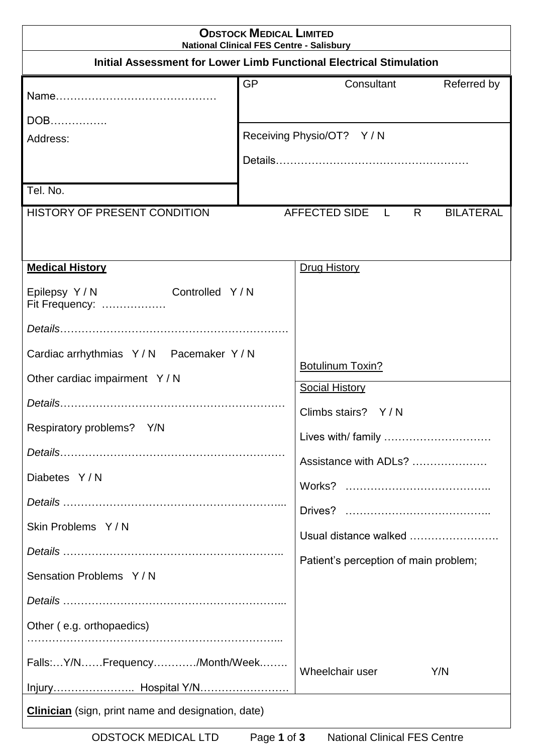| <b>ODSTOCK MEDICAL LIMITED</b><br><b>National Clinical FES Centre - Salisbury</b>                                                                                                                                                                                           |                                                                                                                                                                                                                |  |  |  |  |
|-----------------------------------------------------------------------------------------------------------------------------------------------------------------------------------------------------------------------------------------------------------------------------|----------------------------------------------------------------------------------------------------------------------------------------------------------------------------------------------------------------|--|--|--|--|
| Initial Assessment for Lower Limb Functional Electrical Stimulation                                                                                                                                                                                                         |                                                                                                                                                                                                                |  |  |  |  |
|                                                                                                                                                                                                                                                                             | <b>GP</b><br>Referred by<br>Consultant                                                                                                                                                                         |  |  |  |  |
| DOB<br>Address:                                                                                                                                                                                                                                                             | Receiving Physio/OT? Y / N                                                                                                                                                                                     |  |  |  |  |
| Tel. No.                                                                                                                                                                                                                                                                    |                                                                                                                                                                                                                |  |  |  |  |
| <b>HISTORY OF PRESENT CONDITION</b>                                                                                                                                                                                                                                         | AFFECTED SIDE L<br>$R_{\perp}$<br><b>BILATERAL</b>                                                                                                                                                             |  |  |  |  |
| <b>Medical History</b><br>Epilepsy Y/N Controlled Y/N<br>Fit Frequency:<br>Cardiac arrhythmias Y/N Pacemaker Y/N<br>Other cardiac impairment Y / N<br>Respiratory problems? Y/N<br>Diabetes Y/N<br>Skin Problems Y/N<br>Sensation Problems Y/N<br>Other (e.g. orthopaedics) | <b>Drug History</b><br><b>Botulinum Toxin?</b><br><b>Social History</b><br>Climbs stairs? Y/N<br>Lives with/ family<br>Assistance with ADLs?<br>Usual distance walked<br>Patient's perception of main problem; |  |  |  |  |
| Falls:Y/NFrequency/Month/Week                                                                                                                                                                                                                                               | Wheelchair user<br>Y/N                                                                                                                                                                                         |  |  |  |  |
| <b>Clinician</b> (sign, print name and designation, date)                                                                                                                                                                                                                   |                                                                                                                                                                                                                |  |  |  |  |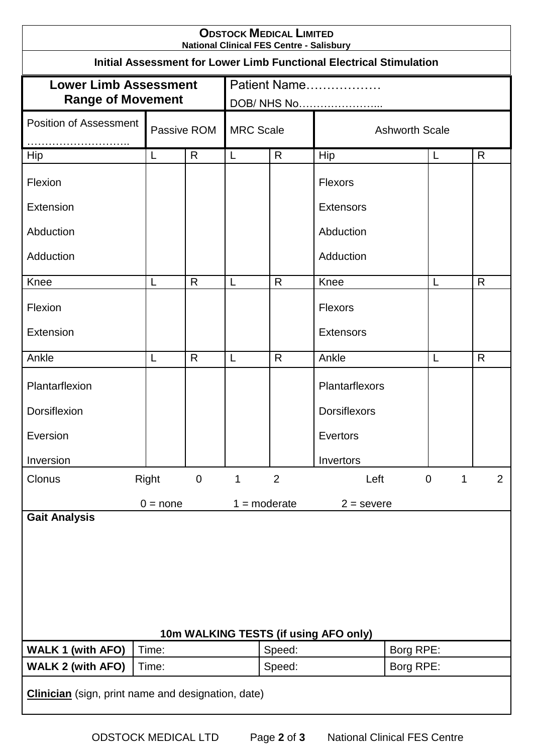| <b>ODSTOCK MEDICAL LIMITED</b><br><b>National Clinical FES Centre - Salisbury</b> |                              |                  |                             |        |                       |           |                  |   |                |
|-----------------------------------------------------------------------------------|------------------------------|------------------|-----------------------------|--------|-----------------------|-----------|------------------|---|----------------|
| <b>Initial Assessment for Lower Limb Functional Electrical Stimulation</b>        |                              |                  |                             |        |                       |           |                  |   |                |
| <b>Lower Limb Assessment</b><br><b>Range of Movement</b>                          |                              |                  | Patient Name<br>DOB/ NHS No |        |                       |           |                  |   |                |
| <b>Position of Assessment</b>                                                     | Passive ROM                  |                  | <b>MRC Scale</b>            |        | <b>Ashworth Scale</b> |           |                  |   |                |
| <b>Hip</b>                                                                        | L                            | $\mathsf{R}$     | L                           | R      | Hip                   |           | L                | R |                |
| Flexion                                                                           |                              |                  |                             |        | <b>Flexors</b>        |           |                  |   |                |
| Extension                                                                         |                              |                  |                             |        | <b>Extensors</b>      |           |                  |   |                |
| Abduction                                                                         |                              |                  |                             |        | Abduction             |           |                  |   |                |
| Adduction                                                                         |                              |                  |                             |        | Adduction             |           |                  |   |                |
| Knee                                                                              | L                            | $\mathsf{R}$     | L                           | R      | Knee                  |           | L                | R |                |
| Flexion                                                                           |                              |                  |                             |        | <b>Flexors</b>        |           |                  |   |                |
| Extension                                                                         |                              |                  |                             |        | <b>Extensors</b>      |           |                  |   |                |
| Ankle                                                                             | L                            | R                | L                           | R      | Ankle                 |           | L                | R |                |
| Plantarflexion                                                                    |                              |                  |                             |        | Plantarflexors        |           |                  |   |                |
| Dorsiflexion                                                                      |                              |                  |                             |        | <b>Dorsiflexors</b>   |           |                  |   |                |
| Eversion                                                                          |                              |                  |                             |        | Evertors              |           |                  |   |                |
| Inversion                                                                         |                              |                  |                             |        | Invertors             |           |                  |   |                |
| Clonus                                                                            | Right                        | $\boldsymbol{0}$ | 1                           | 2      | Left                  |           | $\boldsymbol{0}$ | 1 | $\overline{2}$ |
|                                                                                   | $0 = none$                   |                  | $1 = moderate$              |        | $2 =$ severe          |           |                  |   |                |
| <b>Gait Analysis</b>                                                              |                              |                  |                             |        |                       |           |                  |   |                |
|                                                                                   |                              |                  |                             |        |                       |           |                  |   |                |
|                                                                                   |                              |                  |                             |        |                       |           |                  |   |                |
|                                                                                   |                              |                  |                             |        |                       |           |                  |   |                |
|                                                                                   |                              |                  |                             |        |                       |           |                  |   |                |
| 10m WALKING TESTS (if using AFO only)                                             |                              |                  |                             |        |                       |           |                  |   |                |
| <b>WALK 1 (with AFO)</b>                                                          | Time:                        |                  |                             | Speed: |                       | Borg RPE: |                  |   |                |
| <b>WALK 2 (with AFO)</b>                                                          | Borg RPE:<br>Speed:<br>Time: |                  |                             |        |                       |           |                  |   |                |
| <b>Clinician</b> (sign, print name and designation, date)                         |                              |                  |                             |        |                       |           |                  |   |                |